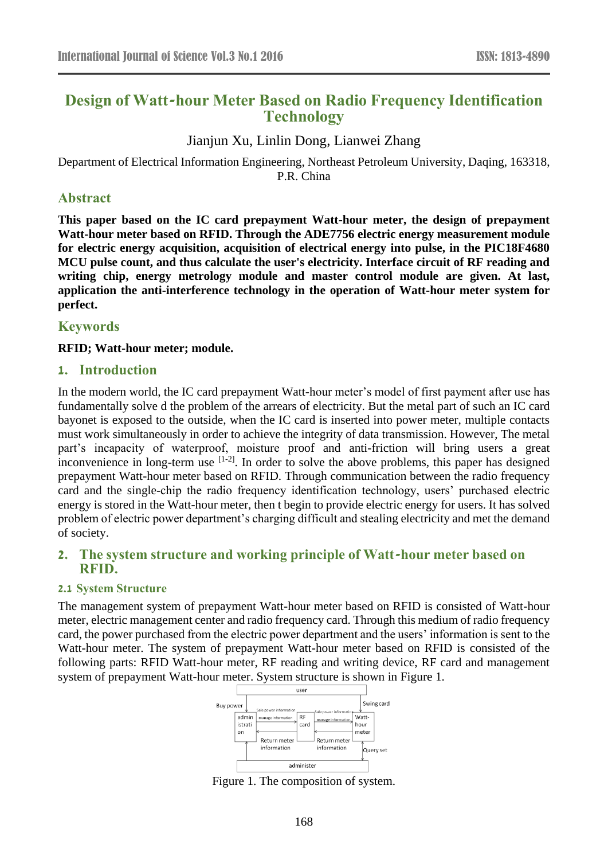# **Design of Watt-hour Meter Based on Radio Frequency Identification Technology**

# Jianjun Xu, Linlin Dong, Lianwei Zhang

Department of Electrical Information Engineering, Northeast Petroleum University, Daqing, 163318, P.R. China

### **Abstract**

**This paper based on the IC card prepayment Watt-hour meter, the design of prepayment Watt-hour meter based on RFID. Through the ADE7756 electric energy measurement module for electric energy acquisition, acquisition of electrical energy into pulse, in the PIC18F4680 MCU pulse count, and thus calculate the user's electricity. Interface circuit of RF reading and writing chip, energy metrology module and master control module are given. At last, application the anti-interference technology in the operation of Watt-hour meter system for perfect.**

### **Keywords**

### **RFID; Watt-hour meter; module.**

### **1. Introduction**

In the modern world, the IC card prepayment Watt-hour meter's model of first payment after use has fundamentally solve d the problem of the arrears of electricity. But the metal part of such an IC card bayonet is exposed to the outside, when the IC card is inserted into power meter, multiple contacts must work simultaneously in order to achieve the integrity of data transmission. However, The metal part's incapacity of waterproof, moisture proof and anti-friction will bring users a great inconvenience in long-term use <sup>[1-2]</sup>. In order to solve the above problems, this paper has designed prepayment Watt-hour meter based on RFID. Through communication between the radio frequency card and the single-chip the radio frequency identification technology, users' purchased electric energy is stored in the Watt-hour meter, then t begin to provide electric energy for users. It has solved problem of electric power department's charging difficult and stealing electricity and met the demand of society.

### **2. The system structure and working principle of Watt-hour meter based on RFID.**

### **2.1 System Structure**

The management system of prepayment Watt-hour meter based on RFID is consisted of Watt-hour meter, electric management center and radio frequency card. Through this medium of radio frequency card, the power purchased from the electric power department and the users' information is sent to the Watt-hour meter. The system of prepayment Watt-hour meter based on RFID is consisted of the following parts: RFID Watt-hour meter, RF reading and writing device, RF card and management system of prepayment Watt-hour meter. System structure is shown in Figure 1.



Figure 1. The composition of system.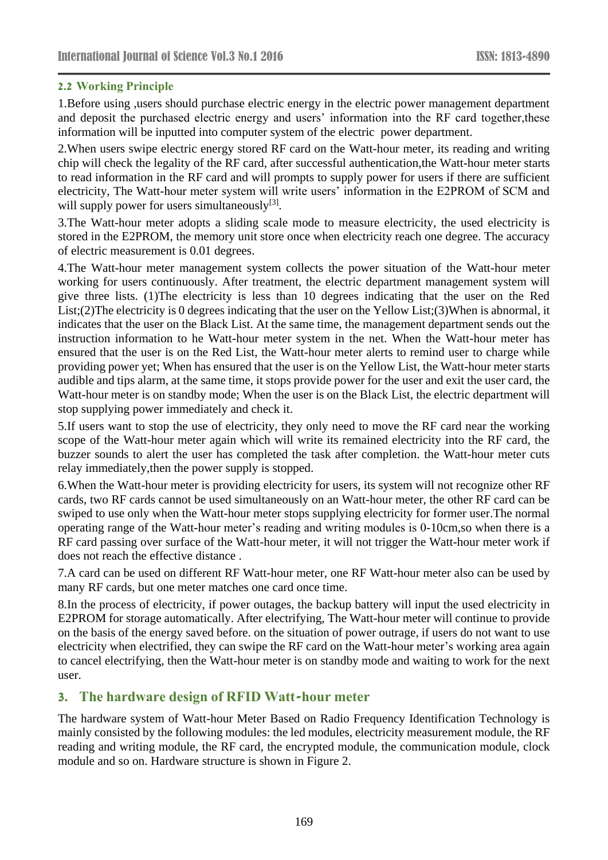#### **2.2 Working Principle**

1.Before using ,users should purchase electric energy in the electric power management department and deposit the purchased electric energy and users' information into the RF card together,these information will be inputted into computer system of the electric power department.

2.When users swipe electric energy stored RF card on the Watt-hour meter, its reading and writing chip will check the legality of the RF card, after successful authentication,the Watt-hour meter starts to read information in the RF card and will prompts to supply power for users if there are sufficient electricity, The Watt-hour meter system will write users' information in the E2PROM of SCM and will supply power for users simultaneously<sup>[3]</sup>.

3.The Watt-hour meter adopts a sliding scale mode to measure electricity, the used electricity is stored in the E2PROM, the memory unit store once when electricity reach one degree. The accuracy of electric measurement is 0.01 degrees.

4.The Watt-hour meter management system collects the power situation of the Watt-hour meter working for users continuously. After treatment, the electric department management system will give three lists. (1)The electricity is less than 10 degrees indicating that the user on the Red List;(2)The electricity is 0 degrees indicating that the user on the Yellow List;(3)When is abnormal, it indicates that the user on the Black List. At the same time, the management department sends out the instruction information to he Watt-hour meter system in the net. When the Watt-hour meter has ensured that the user is on the Red List, the Watt-hour meter alerts to remind user to charge while providing power yet; When has ensured that the user is on the Yellow List, the Watt-hour meter starts audible and tips alarm, at the same time, it stops provide power for the user and exit the user card, the Watt-hour meter is on standby mode; When the user is on the Black List, the electric department will stop supplying power immediately and check it.

5.If users want to stop the use of electricity, they only need to move the RF card near the working scope of the Watt-hour meter again which will write its remained electricity into the RF card, the buzzer sounds to alert the user has completed the task after completion. the Watt-hour meter cuts relay immediately,then the power supply is stopped.

6.When the Watt-hour meter is providing electricity for users, its system will not recognize other RF cards, two RF cards cannot be used simultaneously on an Watt-hour meter, the other RF card can be swiped to use only when the Watt-hour meter stops supplying electricity for former user.The normal operating range of the Watt-hour meter's reading and writing modules is 0-10cm,so when there is a RF card passing over surface of the Watt-hour meter, it will not trigger the Watt-hour meter work if does not reach the effective distance .

7.A card can be used on different RF Watt-hour meter, one RF Watt-hour meter also can be used by many RF cards, but one meter matches one card once time.

8.In the process of electricity, if power outages, the backup battery will input the used electricity in E2PROM for storage automatically. After electrifying, The Watt-hour meter will continue to provide on the basis of the energy saved before. on the situation of power outrage, if users do not want to use electricity when electrified, they can swipe the RF card on the Watt-hour meter's working area again to cancel electrifying, then the Watt-hour meter is on standby mode and waiting to work for the next user.

# **3. The hardware design of RFID Watt-hour meter**

The hardware system of Watt-hour Meter Based on Radio Frequency Identification Technology is mainly consisted by the following modules: the led modules, electricity measurement module, the RF reading and writing module, the RF card, the encrypted module, the communication module, clock module and so on. Hardware structure is shown in Figure 2.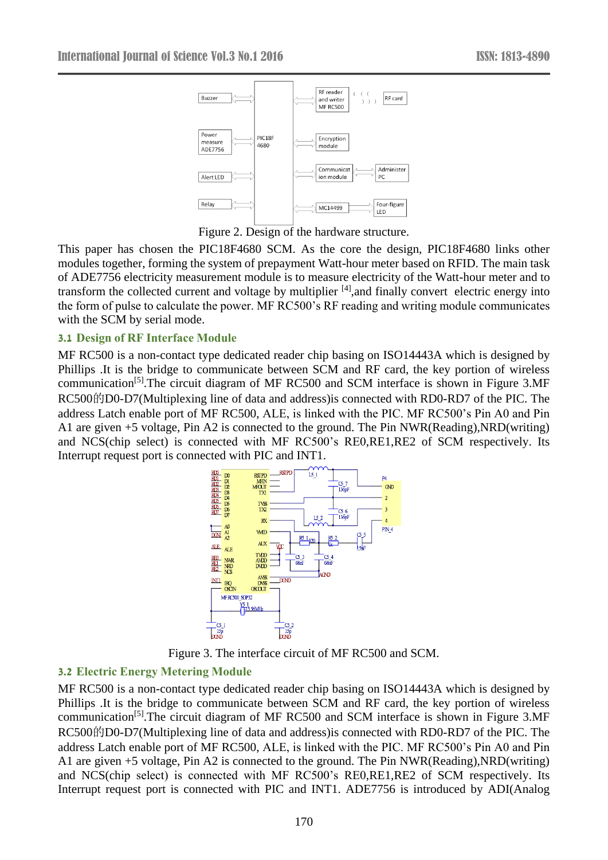

Figure 2. Design of the hardware structure.

This paper has chosen the PIC18F4680 SCM. As the core the design, PIC18F4680 links other modules together, forming the system of prepayment Watt-hour meter based on RFID. The main task of ADE7756 electricity measurement module is to measure electricity of the Watt-hour meter and to transform the collected current and voltage by multiplier [4],and finally convert electric energy into the form of pulse to calculate the power. MF RC500's RF reading and writing module communicates with the SCM by serial mode.

#### **3.1 Design of RF Interface Module**

MF RC500 is a non-contact type dedicated reader chip basing on ISO14443A which is designed by Phillips .It is the bridge to communicate between SCM and RF card, the key portion of wireless communication[5].The circuit diagram of MF RC500 and SCM interface is shown in Figure 3.MF RC500的D0-D7(Multiplexing line of data and address) is connected with RD0-RD7 of the PIC. The address Latch enable port of MF RC500, ALE, is linked with the PIC. MF RC500's Pin A0 and Pin A1 are given  $+5$  voltage, Pin A2 is connected to the ground. The Pin NWR(Reading), NRD(writing) and NCS(chip select) is connected with MF RC500's RE0,RE1,RE2 of SCM respectively. Its Interrupt request port is connected with PIC and INT1.



Figure 3. The interface circuit of MF RC500 and SCM.

#### **3.2 Electric Energy Metering Module**

MF RC500 is a non-contact type dedicated reader chip basing on ISO14443A which is designed by Phillips .It is the bridge to communicate between SCM and RF card, the key portion of wireless communication[5].The circuit diagram of MF RC500 and SCM interface is shown in Figure 3.MF RC500的D0-D7(Multiplexing line of data and address) is connected with RD0-RD7 of the PIC. The address Latch enable port of MF RC500, ALE, is linked with the PIC. MF RC500's Pin A0 and Pin A1 are given  $+5$  voltage, Pin A2 is connected to the ground. The Pin NWR(Reading), NRD(writing) and NCS(chip select) is connected with MF RC500's RE0,RE1,RE2 of SCM respectively. Its Interrupt request port is connected with PIC and INT1. ADE7756 is introduced by ADI(Analog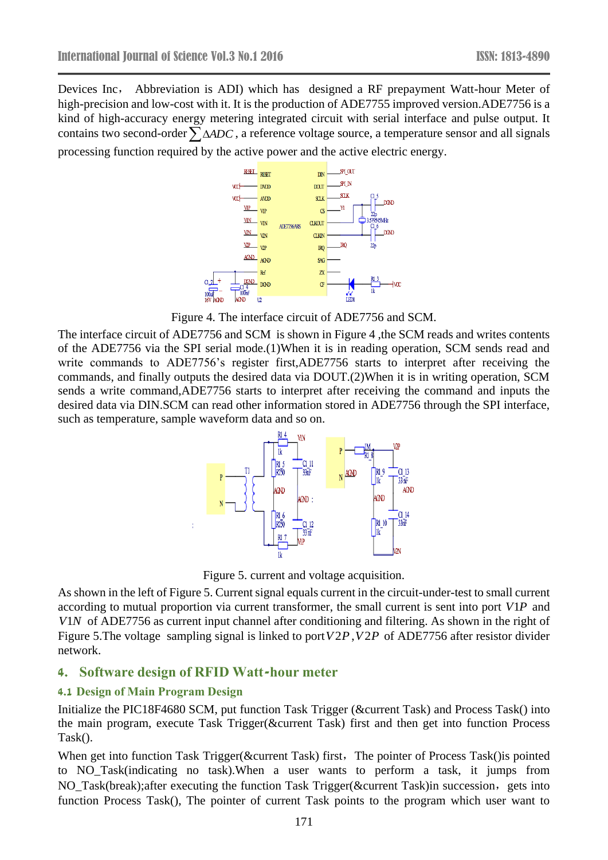Devices Inc, Abbreviation is ADI) which has designed a RF prepayment Watt-hour Meter of high-precision and low-cost with it. It is the production of ADE7755 improved version.ADE7756 is a kind of high-accuracy energy metering integrated circuit with serial interface and pulse output. It contains two second-order  $\sum$   $\Delta ADC$  , a reference voltage source, a temperature sensor and all signals processing function required by the active power and the active electric energy.



Figure 4. The interface circuit of ADE7756 and SCM.

The interface circuit of ADE7756 and SCM is shown in Figure 4 ,the SCM reads and writes contents of the ADE7756 via the SPI serial mode.(1)When it is in reading operation, SCM sends read and write commands to ADE7756's register first,ADE7756 starts to interpret after receiving the commands, and finally outputs the desired data via DOUT.(2)When it is in writing operation, SCM sends a write command,ADE7756 starts to interpret after receiving the command and inputs the desired data via DIN.SCM can read other information stored in ADE7756 through the SPI interface, such as temperature, sample waveform data and so on.



Figure 5. current and voltage acquisition.

As shown in the left of Figure 5. Current signal equals current in the circuit-under-test to small current according to mutual proportion via current transformer, the small current is sent into port *V*1*P* and *V*1*N* of ADE7756 as current input channel after conditioning and filtering. As shown in the right of Figure 5.The voltage sampling signal is linked to port *<sup>V</sup>*2*P*,*V*2*<sup>P</sup>* of ADE7756 after resistor divider network.

# **4. Software design of RFID Watt-hour meter**

# **4.1 Design of Main Program Design**

Initialize the PIC18F4680 SCM, put function Task Trigger (&current Task) and Process Task() into the main program, execute Task Trigger( $&$  Current Task) first and then get into function Process Task().

When get into function Task Trigger( $&$ current Task) first, The pointer of Process Task() is pointed to NO\_Task(indicating no task).When a user wants to perform a task, it jumps from NO\_Task(break);after executing the function Task Trigger(&current Task)in succession, gets into function Process Task(), The pointer of current Task points to the program which user want to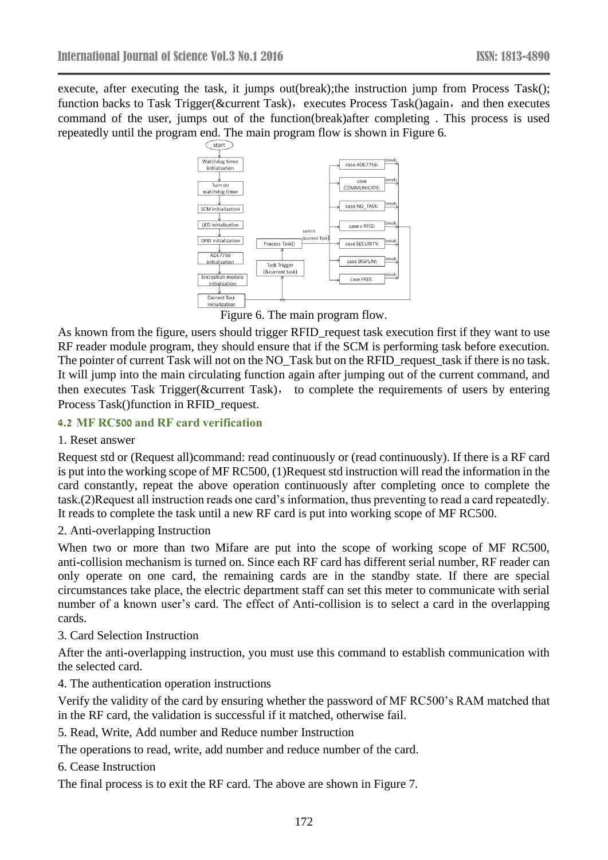execute, after executing the task, it jumps out(break);the instruction jump from Process Task(); function backs to Task Trigger( $&$ current Task), executes Process Task()again, and then executes command of the user, jumps out of the function(break)after completing . This process is used repeatedly until the program end. The main program flow is shown in Figure 6.



Figure 6. The main program flow.

As known from the figure, users should trigger RFID request task execution first if they want to use RF reader module program, they should ensure that if the SCM is performing task before execution. The pointer of current Task will not on the NO\_Task but on the RFID\_request\_task if there is no task. It will jump into the main circulating function again after jumping out of the current command, and then executes Task Trigger( $&$ current Task), to complete the requirements of users by entering Process Task()function in RFID\_request.

#### **4.2 MF RC500 and RF card verification**

#### 1. Reset answer

Request std or (Request all)command: read continuously or (read continuously). If there is a RF card is put into the working scope of MF RC500, (1)Request std instruction will read the information in the card constantly, repeat the above operation continuously after completing once to complete the task.(2)Request all instruction reads one card's information, thus preventing to read a card repeatedly. It reads to complete the task until a new RF card is put into working scope of MF RC500.

#### 2. Anti-overlapping Instruction

When two or more than two Mifare are put into the scope of working scope of MF RC500, anti-collision mechanism is turned on. Since each RF card has different serial number, RF reader can only operate on one card, the remaining cards are in the standby state. If there are special circumstances take place, the electric department staff can set this meter to communicate with serial number of a known user's card. The effect of Anti-collision is to select a card in the overlapping cards.

#### 3. Card Selection Instruction

After the anti-overlapping instruction, you must use this command to establish communication with the selected card.

4. The authentication operation instructions

Verify the validity of the card by ensuring whether the password of MF RC500's RAM matched that in the RF card, the validation is successful if it matched, otherwise fail.

5. Read, Write, Add number and Reduce number Instruction

The operations to read, write, add number and reduce number of the card.

6. Cease Instruction

The final process is to exit the RF card. The above are shown in Figure 7.